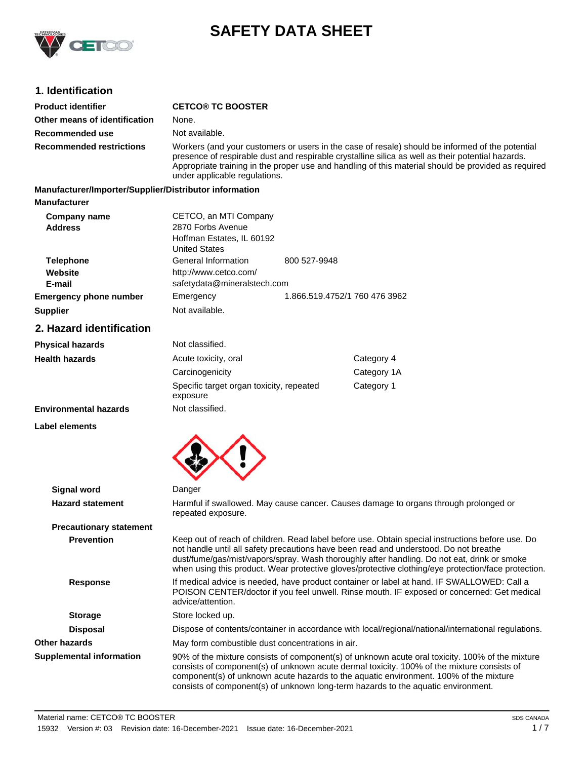

# **SAFETY DATA SHEET**

# **1. Identification**

| <b>Product identifier</b>                              | <b>CETCO® TC BOOSTER</b>                                                                                                                                                                                                                                                                                                                                                                        |                                                  |                                                                                                                                                                                                                                                                                                                                                                             |  |
|--------------------------------------------------------|-------------------------------------------------------------------------------------------------------------------------------------------------------------------------------------------------------------------------------------------------------------------------------------------------------------------------------------------------------------------------------------------------|--------------------------------------------------|-----------------------------------------------------------------------------------------------------------------------------------------------------------------------------------------------------------------------------------------------------------------------------------------------------------------------------------------------------------------------------|--|
| Other means of identification                          | None.                                                                                                                                                                                                                                                                                                                                                                                           |                                                  |                                                                                                                                                                                                                                                                                                                                                                             |  |
| Recommended use                                        | Not available.                                                                                                                                                                                                                                                                                                                                                                                  |                                                  |                                                                                                                                                                                                                                                                                                                                                                             |  |
| <b>Recommended restrictions</b>                        | Workers (and your customers or users in the case of resale) should be informed of the potential<br>presence of respirable dust and respirable crystalline silica as well as their potential hazards.<br>Appropriate training in the proper use and handling of this material should be provided as required<br>under applicable regulations.                                                    |                                                  |                                                                                                                                                                                                                                                                                                                                                                             |  |
| Manufacturer/Importer/Supplier/Distributor information |                                                                                                                                                                                                                                                                                                                                                                                                 |                                                  |                                                                                                                                                                                                                                                                                                                                                                             |  |
| <b>Manufacturer</b>                                    |                                                                                                                                                                                                                                                                                                                                                                                                 |                                                  |                                                                                                                                                                                                                                                                                                                                                                             |  |
| <b>Company name</b><br><b>Address</b>                  | CETCO, an MTI Company<br>2870 Forbs Avenue<br>Hoffman Estates, IL 60192<br><b>United States</b>                                                                                                                                                                                                                                                                                                 |                                                  |                                                                                                                                                                                                                                                                                                                                                                             |  |
| <b>Telephone</b>                                       | General Information                                                                                                                                                                                                                                                                                                                                                                             | 800 527-9948                                     |                                                                                                                                                                                                                                                                                                                                                                             |  |
| Website<br>E-mail                                      | http://www.cetco.com/<br>safetydata@mineralstech.com                                                                                                                                                                                                                                                                                                                                            |                                                  |                                                                                                                                                                                                                                                                                                                                                                             |  |
| <b>Emergency phone number</b>                          | Emergency                                                                                                                                                                                                                                                                                                                                                                                       |                                                  | 1.866.519.4752/1 760 476 3962                                                                                                                                                                                                                                                                                                                                               |  |
| <b>Supplier</b>                                        | Not available.                                                                                                                                                                                                                                                                                                                                                                                  |                                                  |                                                                                                                                                                                                                                                                                                                                                                             |  |
| 2. Hazard identification                               |                                                                                                                                                                                                                                                                                                                                                                                                 |                                                  |                                                                                                                                                                                                                                                                                                                                                                             |  |
| <b>Physical hazards</b>                                | Not classified.                                                                                                                                                                                                                                                                                                                                                                                 |                                                  |                                                                                                                                                                                                                                                                                                                                                                             |  |
| <b>Health hazards</b>                                  | Acute toxicity, oral                                                                                                                                                                                                                                                                                                                                                                            |                                                  | Category 4                                                                                                                                                                                                                                                                                                                                                                  |  |
|                                                        | Carcinogenicity                                                                                                                                                                                                                                                                                                                                                                                 |                                                  | Category 1A                                                                                                                                                                                                                                                                                                                                                                 |  |
|                                                        | Specific target organ toxicity, repeated<br>exposure                                                                                                                                                                                                                                                                                                                                            |                                                  | Category 1                                                                                                                                                                                                                                                                                                                                                                  |  |
| <b>Environmental hazards</b>                           | Not classified.                                                                                                                                                                                                                                                                                                                                                                                 |                                                  |                                                                                                                                                                                                                                                                                                                                                                             |  |
| Label elements                                         |                                                                                                                                                                                                                                                                                                                                                                                                 |                                                  |                                                                                                                                                                                                                                                                                                                                                                             |  |
| <b>Signal word</b>                                     | Danger                                                                                                                                                                                                                                                                                                                                                                                          |                                                  |                                                                                                                                                                                                                                                                                                                                                                             |  |
| <b>Hazard statement</b>                                | Harmful if swallowed. May cause cancer. Causes damage to organs through prolonged or<br>repeated exposure.                                                                                                                                                                                                                                                                                      |                                                  |                                                                                                                                                                                                                                                                                                                                                                             |  |
| <b>Precautionary statement</b>                         |                                                                                                                                                                                                                                                                                                                                                                                                 |                                                  |                                                                                                                                                                                                                                                                                                                                                                             |  |
| <b>Prevention</b>                                      | Keep out of reach of children. Read label before use. Obtain special instructions before use. Do<br>not handle until all safety precautions have been read and understood. Do not breathe<br>dust/fume/gas/mist/vapors/spray. Wash thoroughly after handling. Do not eat, drink or smoke<br>when using this product. Wear protective gloves/protective clothing/eye protection/face protection. |                                                  |                                                                                                                                                                                                                                                                                                                                                                             |  |
| <b>Response</b>                                        | If medical advice is needed, have product container or label at hand. IF SWALLOWED: Call a<br>POISON CENTER/doctor if you feel unwell. Rinse mouth. IF exposed or concerned: Get medical<br>advice/attention.                                                                                                                                                                                   |                                                  |                                                                                                                                                                                                                                                                                                                                                                             |  |
| <b>Storage</b>                                         | Store locked up.                                                                                                                                                                                                                                                                                                                                                                                |                                                  |                                                                                                                                                                                                                                                                                                                                                                             |  |
| <b>Disposal</b>                                        | Dispose of contents/container in accordance with local/regional/national/international regulations.                                                                                                                                                                                                                                                                                             |                                                  |                                                                                                                                                                                                                                                                                                                                                                             |  |
| <b>Other hazards</b>                                   |                                                                                                                                                                                                                                                                                                                                                                                                 | May form combustible dust concentrations in air. |                                                                                                                                                                                                                                                                                                                                                                             |  |
| <b>Supplemental information</b>                        |                                                                                                                                                                                                                                                                                                                                                                                                 |                                                  | 90% of the mixture consists of component(s) of unknown acute oral toxicity. 100% of the mixture<br>consists of component(s) of unknown acute dermal toxicity. 100% of the mixture consists of<br>component(s) of unknown acute hazards to the aquatic environment. 100% of the mixture<br>consists of component(s) of unknown long-term hazards to the aquatic environment. |  |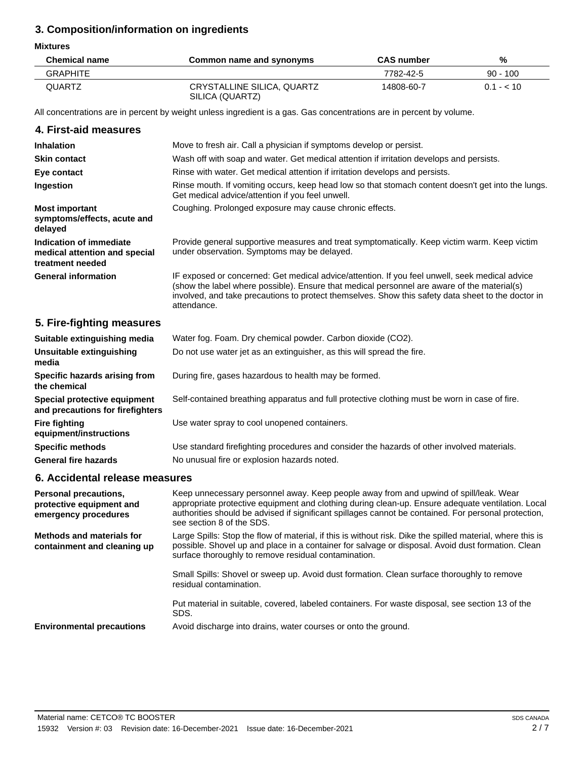# **3. Composition/information on ingredients**

#### **Mixtures**

| <b>Chemical name</b> | Common name and synonyms                      | <b>CAS number</b> | %               |
|----------------------|-----------------------------------------------|-------------------|-----------------|
| <b>GRAPHITE</b>      |                                               | 7782-42-5         | $90 - 100$      |
| QUARTZ               | CRYSTALLINE SILICA, QUARTZ<br>SILICA (QUARTZ) | 14808-60-7        | $0.1 - 10^{-1}$ |

All concentrations are in percent by weight unless ingredient is a gas. Gas concentrations are in percent by volume.

## **4. First-aid measures**

| <b>Inhalation</b>                                                            | Move to fresh air. Call a physician if symptoms develop or persist.                                                                                                                                                                                                                                                |
|------------------------------------------------------------------------------|--------------------------------------------------------------------------------------------------------------------------------------------------------------------------------------------------------------------------------------------------------------------------------------------------------------------|
| <b>Skin contact</b>                                                          | Wash off with soap and water. Get medical attention if irritation develops and persists.                                                                                                                                                                                                                           |
| Eye contact                                                                  | Rinse with water. Get medical attention if irritation develops and persists.                                                                                                                                                                                                                                       |
| Ingestion                                                                    | Rinse mouth. If vomiting occurs, keep head low so that stomach content doesn't get into the lungs.<br>Get medical advice/attention if you feel unwell.                                                                                                                                                             |
| <b>Most important</b><br>symptoms/effects, acute and<br>delayed              | Coughing. Prolonged exposure may cause chronic effects.                                                                                                                                                                                                                                                            |
| Indication of immediate<br>medical attention and special<br>treatment needed | Provide general supportive measures and treat symptomatically. Keep victim warm. Keep victim<br>under observation. Symptoms may be delayed.                                                                                                                                                                        |
| <b>General information</b>                                                   | IF exposed or concerned: Get medical advice/attention. If you feel unwell, seek medical advice<br>(show the label where possible). Ensure that medical personnel are aware of the material(s)<br>involved, and take precautions to protect themselves. Show this safety data sheet to the doctor in<br>attendance. |

# **5. Fire-fighting measures**

| Suitable extinguishing media                                     | Water fog. Foam. Dry chemical powder. Carbon dioxide (CO2).                                   |
|------------------------------------------------------------------|-----------------------------------------------------------------------------------------------|
| Unsuitable extinguishing<br>media                                | Do not use water jet as an extinguisher, as this will spread the fire.                        |
| Specific hazards arising from<br>the chemical                    | During fire, gases hazardous to health may be formed.                                         |
| Special protective equipment<br>and precautions for firefighters | Self-contained breathing apparatus and full protective clothing must be worn in case of fire. |
| <b>Fire fighting</b><br>equipment/instructions                   | Use water spray to cool unopened containers.                                                  |
| <b>Specific methods</b>                                          | Use standard firefighting procedures and consider the hazards of other involved materials.    |
| <b>General fire hazards</b>                                      | No unusual fire or explosion hazards noted.                                                   |

# **6. Accidental release measures**

| <b>Personal precautions,</b><br>protective equipment and<br>emergency procedures | Keep unnecessary personnel away. Keep people away from and upwind of spill/leak. Wear<br>appropriate protective equipment and clothing during clean-up. Ensure adequate ventilation. Local<br>authorities should be advised if significant spillages cannot be contained. For personal protection,<br>see section 8 of the SDS. |
|----------------------------------------------------------------------------------|---------------------------------------------------------------------------------------------------------------------------------------------------------------------------------------------------------------------------------------------------------------------------------------------------------------------------------|
| Methods and materials for<br>containment and cleaning up                         | Large Spills: Stop the flow of material, if this is without risk. Dike the spilled material, where this is<br>possible. Shovel up and place in a container for salvage or disposal. Avoid dust formation. Clean<br>surface thoroughly to remove residual contamination.                                                         |
|                                                                                  | Small Spills: Shovel or sweep up. Avoid dust formation. Clean surface thoroughly to remove<br>residual contamination.                                                                                                                                                                                                           |
|                                                                                  | Put material in suitable, covered, labeled containers. For waste disposal, see section 13 of the<br>SDS.                                                                                                                                                                                                                        |
| <b>Environmental precautions</b>                                                 | Avoid discharge into drains, water courses or onto the ground.                                                                                                                                                                                                                                                                  |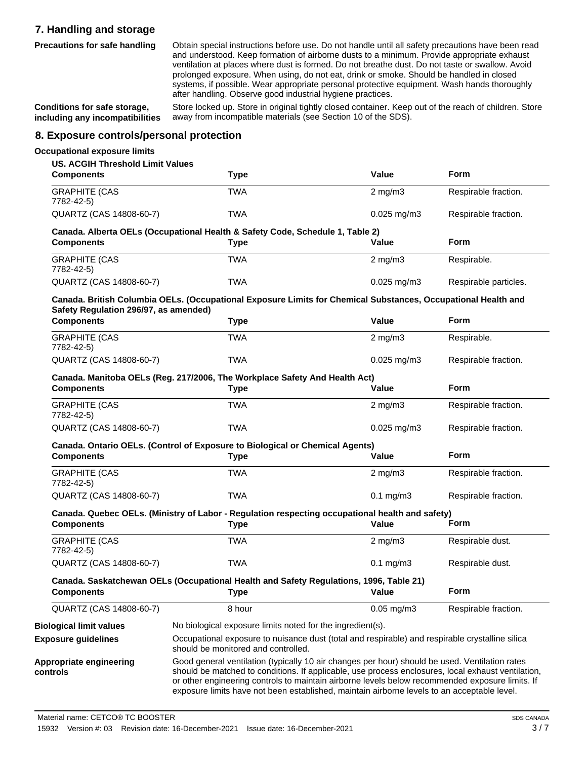# **7. Handling and storage**

**Precautions for safe handling**

Obtain special instructions before use. Do not handle until all safety precautions have been read and understood. Keep formation of airborne dusts to a minimum. Provide appropriate exhaust ventilation at places where dust is formed. Do not breathe dust. Do not taste or swallow. Avoid prolonged exposure. When using, do not eat, drink or smoke. Should be handled in closed systems, if possible. Wear appropriate personal protective equipment. Wash hands thoroughly after handling. Observe good industrial hygiene practices.

**Conditions for safe storage, including any incompatibilities**

Store locked up. Store in original tightly closed container. Keep out of the reach of children. Store away from incompatible materials (see Section 10 of the SDS).

### **8. Exposure controls/personal protection**

#### **Occupational exposure limits**

| <b>US. ACGIH Threshold Limit Values</b><br><b>Components</b> | <b>Type</b>                                                                                                                                                                                                                                                                                                                                                                                            | Value                   | Form                  |
|--------------------------------------------------------------|--------------------------------------------------------------------------------------------------------------------------------------------------------------------------------------------------------------------------------------------------------------------------------------------------------------------------------------------------------------------------------------------------------|-------------------------|-----------------------|
| <b>GRAPHITE (CAS</b><br>7782-42-5)                           | <b>TWA</b>                                                                                                                                                                                                                                                                                                                                                                                             | $2$ mg/m $3$            | Respirable fraction.  |
| QUARTZ (CAS 14808-60-7)                                      | <b>TWA</b>                                                                                                                                                                                                                                                                                                                                                                                             | $0.025$ mg/m3           | Respirable fraction.  |
| <b>Components</b>                                            | Canada. Alberta OELs (Occupational Health & Safety Code, Schedule 1, Table 2)<br><b>Type</b>                                                                                                                                                                                                                                                                                                           | Value                   | <b>Form</b>           |
| <b>GRAPHITE (CAS</b><br>7782-42-5)                           | <b>TWA</b>                                                                                                                                                                                                                                                                                                                                                                                             | $2$ mg/m $3$            | Respirable.           |
| QUARTZ (CAS 14808-60-7)                                      | <b>TWA</b>                                                                                                                                                                                                                                                                                                                                                                                             | $0.025$ mg/m3           | Respirable particles. |
| Safety Regulation 296/97, as amended)                        | Canada. British Columbia OELs. (Occupational Exposure Limits for Chemical Substances, Occupational Health and                                                                                                                                                                                                                                                                                          |                         |                       |
| <b>Components</b>                                            | <b>Type</b>                                                                                                                                                                                                                                                                                                                                                                                            | Value                   | <b>Form</b>           |
| <b>GRAPHITE (CAS</b><br>7782-42-5)                           | <b>TWA</b>                                                                                                                                                                                                                                                                                                                                                                                             | $2 \text{ mg/m}$ 3      | Respirable.           |
| QUARTZ (CAS 14808-60-7)                                      | <b>TWA</b>                                                                                                                                                                                                                                                                                                                                                                                             | $0.025$ mg/m3           | Respirable fraction.  |
| <b>Components</b>                                            | Canada. Manitoba OELs (Reg. 217/2006, The Workplace Safety And Health Act)<br><b>Type</b>                                                                                                                                                                                                                                                                                                              | Value                   | <b>Form</b>           |
| <b>GRAPHITE (CAS</b><br>7782-42-5)                           | <b>TWA</b>                                                                                                                                                                                                                                                                                                                                                                                             | $2 \text{ mg/m}$ 3      | Respirable fraction.  |
| QUARTZ (CAS 14808-60-7)                                      | <b>TWA</b>                                                                                                                                                                                                                                                                                                                                                                                             | $0.025$ mg/m $3$        | Respirable fraction.  |
| <b>Components</b>                                            | Canada. Ontario OELs. (Control of Exposure to Biological or Chemical Agents)<br><b>Type</b>                                                                                                                                                                                                                                                                                                            | Value                   | <b>Form</b>           |
| <b>GRAPHITE (CAS</b><br>7782-42-5)                           | <b>TWA</b>                                                                                                                                                                                                                                                                                                                                                                                             | $2 \text{ mg/m}$ 3      | Respirable fraction.  |
| QUARTZ (CAS 14808-60-7)                                      | <b>TWA</b>                                                                                                                                                                                                                                                                                                                                                                                             | $0.1 \text{ mg/m}$ 3    | Respirable fraction.  |
| <b>Components</b>                                            | Canada. Quebec OELs. (Ministry of Labor - Regulation respecting occupational health and safety)<br><b>Type</b>                                                                                                                                                                                                                                                                                         | Value                   | <b>Form</b>           |
| <b>GRAPHITE (CAS</b><br>7782-42-5)                           | <b>TWA</b>                                                                                                                                                                                                                                                                                                                                                                                             | $2 \text{ mg/m}$ 3      | Respirable dust.      |
| QUARTZ (CAS 14808-60-7)                                      | <b>TWA</b>                                                                                                                                                                                                                                                                                                                                                                                             | $0.1$ mg/m $3$          | Respirable dust.      |
| <b>Components</b>                                            | Canada. Saskatchewan OELs (Occupational Health and Safety Regulations, 1996, Table 21)<br>Type                                                                                                                                                                                                                                                                                                         | Value                   | Form                  |
| QUARTZ (CAS 14808-60-7)                                      | 8 hour                                                                                                                                                                                                                                                                                                                                                                                                 | $0.05 \,\mathrm{mg/m3}$ | Respirable fraction.  |
| <b>Biological limit values</b>                               | No biological exposure limits noted for the ingredient(s).                                                                                                                                                                                                                                                                                                                                             |                         |                       |
| <b>Exposure guidelines</b>                                   | Occupational exposure to nuisance dust (total and respirable) and respirable crystalline silica<br>should be monitored and controlled.                                                                                                                                                                                                                                                                 |                         |                       |
| Appropriate engineering<br>controls                          | Good general ventilation (typically 10 air changes per hour) should be used. Ventilation rates<br>should be matched to conditions. If applicable, use process enclosures, local exhaust ventilation,<br>or other engineering controls to maintain airborne levels below recommended exposure limits. If<br>exposure limits have not been established, maintain airborne levels to an acceptable level. |                         |                       |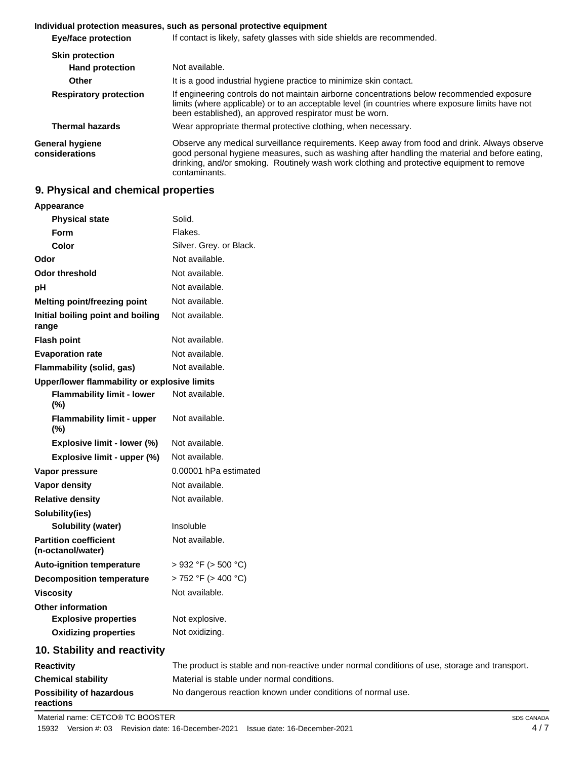#### **Individual protection measures, such as personal protective equipment**

| If contact is likely, safety glasses with side shields are recommended.                                                                                                                                                                                                                                      |
|--------------------------------------------------------------------------------------------------------------------------------------------------------------------------------------------------------------------------------------------------------------------------------------------------------------|
|                                                                                                                                                                                                                                                                                                              |
| Not available.                                                                                                                                                                                                                                                                                               |
| It is a good industrial hygiene practice to minimize skin contact.                                                                                                                                                                                                                                           |
| If engineering controls do not maintain airborne concentrations below recommended exposure<br>limits (where applicable) or to an acceptable level (in countries where exposure limits have not<br>been established), an approved respirator must be worn.                                                    |
| Wear appropriate thermal protective clothing, when necessary.                                                                                                                                                                                                                                                |
| Observe any medical surveillance requirements. Keep away from food and drink. Always observe<br>good personal hygiene measures, such as washing after handling the material and before eating,<br>drinking, and/or smoking. Routinely wash work clothing and protective equipment to remove<br>contaminants. |
|                                                                                                                                                                                                                                                                                                              |

#### **9. Physical and chemical properties**

## **Appearance Physical state** Solid. **Form** Flakes. **Color** Silver. Grey. or Black. **Odor** Not available. **Odor threshold** Not available. **pH** Not available. **Melting point/freezing point** Not available. **Initial boiling point and boiling range** Not available. **Flash point** Not available. **Evaporation rate** Not available. **Flammability (solid, gas)** Not available. **Upper/lower flammability or explosive limits Flammability limit - lower (%)** Not available. **Flammability limit - upper (%)** Not available. **Explosive limit - lower (%)** Not available. **Explosive limit - upper (%)** Not available. **Vapor pressure** 0.00001 hPa estimated **Vapor density Not available. Relative density** Not available. **Solubility(ies) Solubility (water)** Insoluble **Partition coefficient (n-octanol/water)** Not available. **Auto-ignition temperature** > 932 °F (> 500 °C) **Decomposition temperature** > 752 °F (> 400 °C) **Viscosity** Not available. **Other information Explosive properties** Not explosive. **Oxidizing properties** Not oxidizing. **10. Stability and reactivity Reactivity** The product is stable and non-reactive under normal conditions of use, storage and transport. **Chemical stability** Material is stable under normal conditions. **Possibility of hazardous** No dangerous reaction known under conditions of normal use.

**reactions**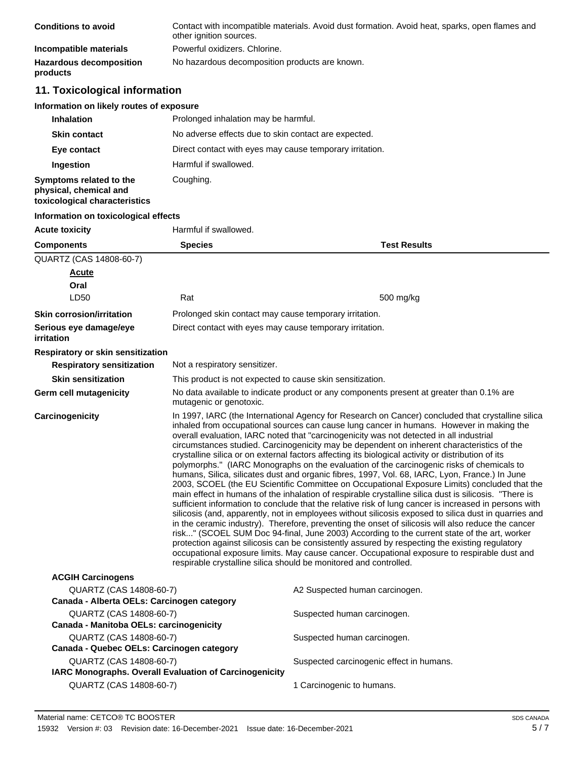| <b>Conditions to avoid</b>                 | Contact with incompatible materials. Avoid dust formation. Avoid heat, sparks, open flames and<br>other ignition sources. |
|--------------------------------------------|---------------------------------------------------------------------------------------------------------------------------|
| Incompatible materials                     | Powerful oxidizers. Chlorine.                                                                                             |
| <b>Hazardous decomposition</b><br>products | No hazardous decomposition products are known.                                                                            |

# **11. Toxicological information**

| <b>Inhalation</b>                                                                  | Prolonged inhalation may be harmful.                     |
|------------------------------------------------------------------------------------|----------------------------------------------------------|
| <b>Skin contact</b>                                                                | No adverse effects due to skin contact are expected.     |
| Eye contact                                                                        | Direct contact with eyes may cause temporary irritation. |
| Ingestion                                                                          | Harmful if swallowed.                                    |
| Symptoms related to the<br>physical, chemical and<br>toxicological characteristics | Coughing.                                                |

## **Information on toxicological effects**

| <b>Acute toxicity</b>                   | Harmful if swallowed.                                                                                               |                                                                                                                                                                                                                                                                                                                                                                                                                                                                                                                                                                                                                                                                                                                                                                                                                                                                                                                                                                                                                                                                                                                                                                                                                                                                                                                                                                                                                                                                                                                               |  |
|-----------------------------------------|---------------------------------------------------------------------------------------------------------------------|-------------------------------------------------------------------------------------------------------------------------------------------------------------------------------------------------------------------------------------------------------------------------------------------------------------------------------------------------------------------------------------------------------------------------------------------------------------------------------------------------------------------------------------------------------------------------------------------------------------------------------------------------------------------------------------------------------------------------------------------------------------------------------------------------------------------------------------------------------------------------------------------------------------------------------------------------------------------------------------------------------------------------------------------------------------------------------------------------------------------------------------------------------------------------------------------------------------------------------------------------------------------------------------------------------------------------------------------------------------------------------------------------------------------------------------------------------------------------------------------------------------------------------|--|
| <b>Components</b>                       | <b>Species</b>                                                                                                      | <b>Test Results</b>                                                                                                                                                                                                                                                                                                                                                                                                                                                                                                                                                                                                                                                                                                                                                                                                                                                                                                                                                                                                                                                                                                                                                                                                                                                                                                                                                                                                                                                                                                           |  |
| QUARTZ (CAS 14808-60-7)                 |                                                                                                                     |                                                                                                                                                                                                                                                                                                                                                                                                                                                                                                                                                                                                                                                                                                                                                                                                                                                                                                                                                                                                                                                                                                                                                                                                                                                                                                                                                                                                                                                                                                                               |  |
| Acute                                   |                                                                                                                     |                                                                                                                                                                                                                                                                                                                                                                                                                                                                                                                                                                                                                                                                                                                                                                                                                                                                                                                                                                                                                                                                                                                                                                                                                                                                                                                                                                                                                                                                                                                               |  |
| Oral                                    |                                                                                                                     |                                                                                                                                                                                                                                                                                                                                                                                                                                                                                                                                                                                                                                                                                                                                                                                                                                                                                                                                                                                                                                                                                                                                                                                                                                                                                                                                                                                                                                                                                                                               |  |
| LD50                                    | Rat                                                                                                                 | 500 mg/kg                                                                                                                                                                                                                                                                                                                                                                                                                                                                                                                                                                                                                                                                                                                                                                                                                                                                                                                                                                                                                                                                                                                                                                                                                                                                                                                                                                                                                                                                                                                     |  |
| <b>Skin corrosion/irritation</b>        | Prolonged skin contact may cause temporary irritation.                                                              |                                                                                                                                                                                                                                                                                                                                                                                                                                                                                                                                                                                                                                                                                                                                                                                                                                                                                                                                                                                                                                                                                                                                                                                                                                                                                                                                                                                                                                                                                                                               |  |
| Serious eye damage/eye<br>irritation    | Direct contact with eyes may cause temporary irritation.                                                            |                                                                                                                                                                                                                                                                                                                                                                                                                                                                                                                                                                                                                                                                                                                                                                                                                                                                                                                                                                                                                                                                                                                                                                                                                                                                                                                                                                                                                                                                                                                               |  |
| Respiratory or skin sensitization       |                                                                                                                     |                                                                                                                                                                                                                                                                                                                                                                                                                                                                                                                                                                                                                                                                                                                                                                                                                                                                                                                                                                                                                                                                                                                                                                                                                                                                                                                                                                                                                                                                                                                               |  |
| <b>Respiratory sensitization</b>        | Not a respiratory sensitizer.                                                                                       |                                                                                                                                                                                                                                                                                                                                                                                                                                                                                                                                                                                                                                                                                                                                                                                                                                                                                                                                                                                                                                                                                                                                                                                                                                                                                                                                                                                                                                                                                                                               |  |
| <b>Skin sensitization</b>               | This product is not expected to cause skin sensitization.                                                           |                                                                                                                                                                                                                                                                                                                                                                                                                                                                                                                                                                                                                                                                                                                                                                                                                                                                                                                                                                                                                                                                                                                                                                                                                                                                                                                                                                                                                                                                                                                               |  |
| Germ cell mutagenicity                  | No data available to indicate product or any components present at greater than 0.1% are<br>mutagenic or genotoxic. |                                                                                                                                                                                                                                                                                                                                                                                                                                                                                                                                                                                                                                                                                                                                                                                                                                                                                                                                                                                                                                                                                                                                                                                                                                                                                                                                                                                                                                                                                                                               |  |
| Carcinogenicity                         | respirable crystalline silica should be monitored and controlled.                                                   | In 1997, IARC (the International Agency for Research on Cancer) concluded that crystalline silica<br>inhaled from occupational sources can cause lung cancer in humans. However in making the<br>overall evaluation, IARC noted that "carcinogenicity was not detected in all industrial<br>circumstances studied. Carcinogenicity may be dependent on inherent characteristics of the<br>crystalline silica or on external factors affecting its biological activity or distribution of its<br>polymorphs." (IARC Monographs on the evaluation of the carcinogenic risks of chemicals to<br>humans, Silica, silicates dust and organic fibres, 1997, Vol. 68, IARC, Lyon, France.) In June<br>2003, SCOEL (the EU Scientific Committee on Occupational Exposure Limits) concluded that the<br>main effect in humans of the inhalation of respirable crystalline silica dust is silicosis. "There is<br>sufficient information to conclude that the relative risk of lung cancer is increased in persons with<br>silicosis (and, apparently, not in employees without silicosis exposed to silica dust in quarries and<br>in the ceramic industry). Therefore, preventing the onset of silicosis will also reduce the cancer<br>risk" (SCOEL SUM Doc 94-final, June 2003) According to the current state of the art, worker<br>protection against silicosis can be consistently assured by respecting the existing regulatory<br>occupational exposure limits. May cause cancer. Occupational exposure to respirable dust and |  |
| <b>ACGIH Carcinogens</b>                |                                                                                                                     |                                                                                                                                                                                                                                                                                                                                                                                                                                                                                                                                                                                                                                                                                                                                                                                                                                                                                                                                                                                                                                                                                                                                                                                                                                                                                                                                                                                                                                                                                                                               |  |
| $\bigcap \text{IAPT7 (CAC 11808-60-7)}$ |                                                                                                                     | A2 Sucnected buman carcinogen                                                                                                                                                                                                                                                                                                                                                                                                                                                                                                                                                                                                                                                                                                                                                                                                                                                                                                                                                                                                                                                                                                                                                                                                                                                                                                                                                                                                                                                                                                 |  |

| QUARTZ (CAS 14808-60-7)                                | A2 Suspected human carcinogen.           |
|--------------------------------------------------------|------------------------------------------|
| Canada - Alberta OELs: Carcinogen category             |                                          |
| QUARTZ (CAS 14808-60-7)                                | Suspected human carcinogen.              |
| Canada - Manitoba OELs: carcinogenicity                |                                          |
| QUARTZ (CAS 14808-60-7)                                | Suspected human carcinogen.              |
| Canada - Quebec OELs: Carcinogen category              |                                          |
| QUARTZ (CAS 14808-60-7)                                | Suspected carcinogenic effect in humans. |
| IARC Monographs. Overall Evaluation of Carcinogenicity |                                          |
| QUARTZ (CAS 14808-60-7)                                | 1 Carcinogenic to humans.                |
|                                                        |                                          |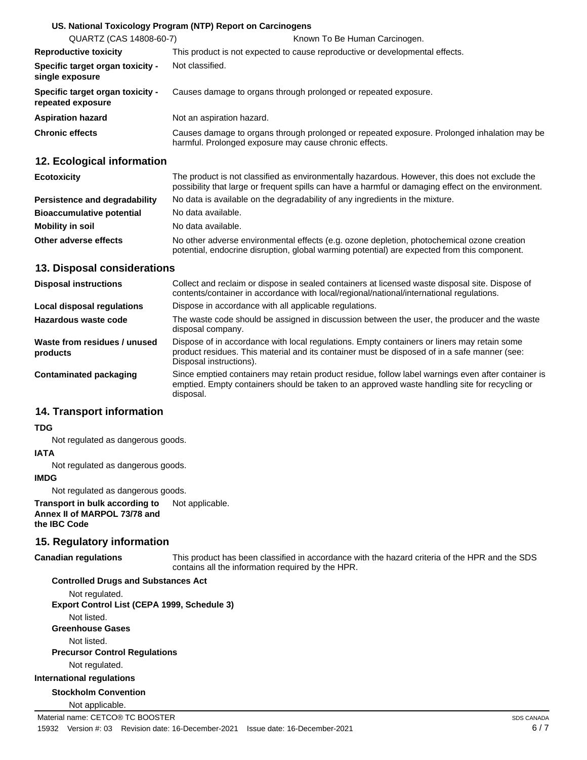|                                                       | US. National Toxicology Program (NTP) Report on Carcinogens                                                                                           |
|-------------------------------------------------------|-------------------------------------------------------------------------------------------------------------------------------------------------------|
| QUARTZ (CAS 14808-60-7)                               | Known To Be Human Carcinogen.                                                                                                                         |
| <b>Reproductive toxicity</b>                          | This product is not expected to cause reproductive or developmental effects.                                                                          |
| Specific target organ toxicity -<br>single exposure   | Not classified.                                                                                                                                       |
| Specific target organ toxicity -<br>repeated exposure | Causes damage to organs through prolonged or repeated exposure.                                                                                       |
| <b>Aspiration hazard</b>                              | Not an aspiration hazard.                                                                                                                             |
| <b>Chronic effects</b>                                | Causes damage to organs through prolonged or repeated exposure. Prolonged inhalation may be<br>harmful. Prolonged exposure may cause chronic effects. |
|                                                       |                                                                                                                                                       |

## **12. Ecological information**

| <b>Ecotoxicity</b>               | The product is not classified as environmentally hazardous. However, this does not exclude the<br>possibility that large or frequent spills can have a harmful or damaging effect on the environment. |  |
|----------------------------------|-------------------------------------------------------------------------------------------------------------------------------------------------------------------------------------------------------|--|
| Persistence and degradability    | No data is available on the degradability of any ingredients in the mixture.                                                                                                                          |  |
| <b>Bioaccumulative potential</b> | No data available.                                                                                                                                                                                    |  |
| <b>Mobility in soil</b>          | No data available.                                                                                                                                                                                    |  |
| Other adverse effects            | No other adverse environmental effects (e.g. ozone depletion, photochemical ozone creation<br>potential, endocrine disruption, global warming potential) are expected from this component.            |  |

### **13. Disposal considerations**

| <b>Disposal instructions</b>             | Collect and reclaim or dispose in sealed containers at licensed waste disposal site. Dispose of<br>contents/container in accordance with local/regional/national/international regulations.                            |
|------------------------------------------|------------------------------------------------------------------------------------------------------------------------------------------------------------------------------------------------------------------------|
| Local disposal regulations               | Dispose in accordance with all applicable regulations.                                                                                                                                                                 |
| Hazardous waste code                     | The waste code should be assigned in discussion between the user, the producer and the waste<br>disposal company.                                                                                                      |
| Waste from residues / unused<br>products | Dispose of in accordance with local regulations. Empty containers or liners may retain some<br>product residues. This material and its container must be disposed of in a safe manner (see:<br>Disposal instructions). |
| Contaminated packaging                   | Since emptied containers may retain product residue, follow label warnings even after container is<br>emptied. Empty containers should be taken to an approved waste handling site for recycling or<br>disposal.       |

## **14. Transport information**

#### **TDG**

Not regulated as dangerous goods.

#### **IATA**

Not regulated as dangerous goods.

#### **IMDG**

Not regulated as dangerous goods.

**Transport in bulk according to** Not applicable. **Annex II of MARPOL 73/78 and the IBC Code**

## **15. Regulatory information**

#### **Canadian regulations**

This product has been classified in accordance with the hazard criteria of the HPR and the SDS contains all the information required by the HPR.

**Controlled Drugs and Substances Act** Not regulated. **Export Control List (CEPA 1999, Schedule 3)** Not listed. **Greenhouse Gases** Not listed. **Precursor Control Regulations** Not regulated. **International regulations Stockholm Convention** Not applicable. Material name: CETCO® TC BOOSTER